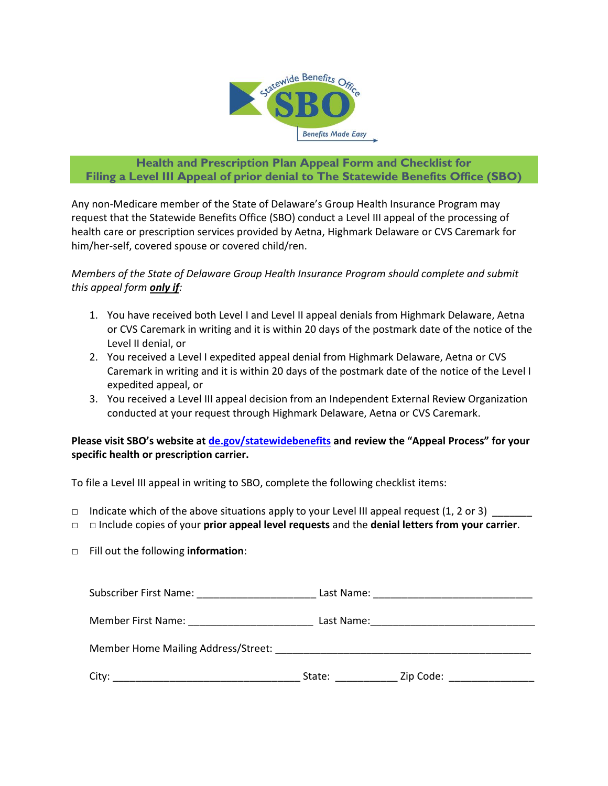

## **Health and Prescription Plan Appeal Form and Checklist for Filing a Level III Appeal of prior denial to The Statewide Benefits Office (SBO)**

Any non-Medicare member of the State of Delaware's Group Health Insurance Program may request that the Statewide Benefits Office (SBO) conduct a Level III appeal of the processing of health care or prescription services provided by Aetna, Highmark Delaware or CVS Caremark for him/her-self, covered spouse or covered child/ren.

*Members of the State of Delaware Group Health Insurance Program should complete and submit this appeal form only if:*

- 1. You have received both Level I and Level II appeal denials from Highmark Delaware, Aetna or CVS Caremark in writing and it is within 20 days of the postmark date of the notice of the Level II denial, or
- 2. You received a Level I expedited appeal denial from Highmark Delaware, Aetna or CVS Caremark in writing and it is within 20 days of the postmark date of the notice of the Level I expedited appeal, or
- 3. You received a Level III appeal decision from an Independent External Review Organization conducted at your request through Highmark Delaware, Aetna or CVS Caremark.

**Please visit SBO's website at [de.gov/statewidebenefits](https://de.gov/statewidebenefits) and review the "Appeal Process" for your specific health or prescription carrier.**

To file a Level III appeal in writing to SBO, complete the following checklist items:

- □ Indicate which of the above situations apply to your Level III appeal request (1, 2 or 3) \_\_\_\_\_\_
- **□** □ Include copies of your **prior appeal level requests** and the **denial letters from your carrier**.
- **□** Fill out the following **information**:

| Subscriber First Name: | Last Name: |           |
|------------------------|------------|-----------|
| Member First Name:     | Last Name: |           |
|                        |            |           |
| City:                  | State:     | Zip Code: |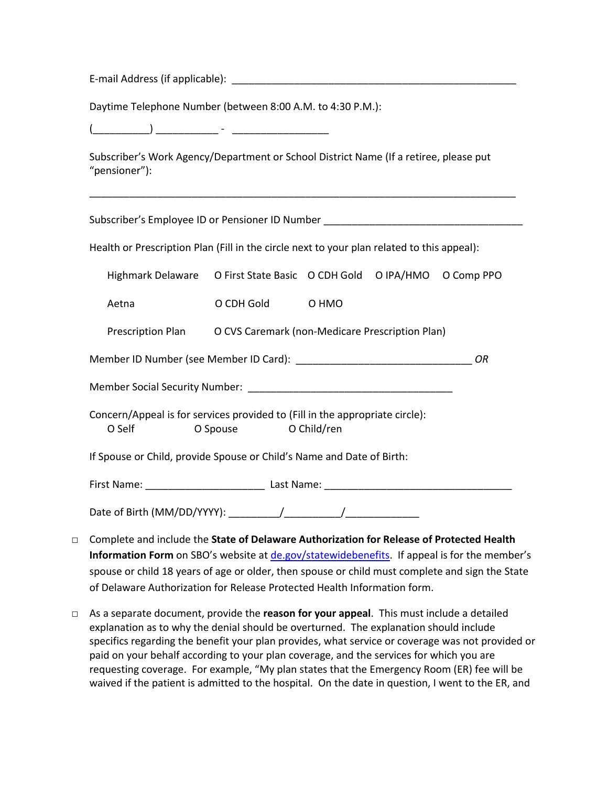E-mail Address (if applicable): \_\_\_\_\_\_\_\_\_\_\_\_\_\_\_\_\_\_\_\_\_\_\_\_\_\_\_\_\_\_\_\_\_\_\_\_\_\_\_\_\_\_\_\_\_\_\_\_\_\_

Daytime Telephone Number (between 8:00 A.M. to 4:30 P.M.):

(\_\_\_\_\_\_\_\_\_\_) \_\_\_\_\_\_\_\_\_\_\_ - \_\_\_\_\_\_\_\_\_\_\_\_\_\_\_\_\_

Subscriber's Work Agency/Department or School District Name (If a retiree, please put "pensioner"):

\_\_\_\_\_\_\_\_\_\_\_\_\_\_\_\_\_\_\_\_\_\_\_\_\_\_\_\_\_\_\_\_\_\_\_\_\_\_\_\_\_\_\_\_\_\_\_\_\_\_\_\_\_\_\_\_\_\_\_\_\_\_\_\_\_\_\_\_\_\_\_\_\_\_\_

| Subscriber's Employee ID or Pensioner ID Number ________________________________                                                                                                                                                    |                                                                           |                                                                   |  |  |  |  |
|-------------------------------------------------------------------------------------------------------------------------------------------------------------------------------------------------------------------------------------|---------------------------------------------------------------------------|-------------------------------------------------------------------|--|--|--|--|
| Health or Prescription Plan (Fill in the circle next to your plan related to this appeal):                                                                                                                                          |                                                                           |                                                                   |  |  |  |  |
|                                                                                                                                                                                                                                     | Highmark Delaware  O First State Basic  O CDH Gold  O IPA/HMO  O Comp PPO |                                                                   |  |  |  |  |
|                                                                                                                                                                                                                                     | Aetna                                                                     | O CDH Gold O HMO                                                  |  |  |  |  |
|                                                                                                                                                                                                                                     |                                                                           | Prescription Plan O CVS Caremark (non-Medicare Prescription Plan) |  |  |  |  |
| ΟR                                                                                                                                                                                                                                  |                                                                           |                                                                   |  |  |  |  |
|                                                                                                                                                                                                                                     |                                                                           |                                                                   |  |  |  |  |
| Concern/Appeal is for services provided to (Fill in the appropriate circle):<br>O Spouse O Child/ren<br>O Self <b>Solution</b>                                                                                                      |                                                                           |                                                                   |  |  |  |  |
| If Spouse or Child, provide Spouse or Child's Name and Date of Birth:                                                                                                                                                               |                                                                           |                                                                   |  |  |  |  |
|                                                                                                                                                                                                                                     |                                                                           |                                                                   |  |  |  |  |
|                                                                                                                                                                                                                                     |                                                                           |                                                                   |  |  |  |  |
| the state of the state of the state of the state of the state of the state of the state of the state of the state of the state of the state of the state of the state of the state of the state of the state of the state of t<br>. |                                                                           |                                                                   |  |  |  |  |

- □ Complete and include the **State of Delaware Authorization for Release of Protected Health**  Information Form on SBO's website at [de.gov/statewidebenefits.](https://de.gov/statewidebenefits) If appeal is for the member's spouse or child 18 years of age or older, then spouse or child must complete and sign the State of Delaware Authorization for Release Protected Health Information form.
- □ As a separate document, provide the **reason for your appeal**. This must include a detailed explanation as to why the denial should be overturned. The explanation should include specifics regarding the benefit your plan provides, what service or coverage was not provided or paid on your behalf according to your plan coverage, and the services for which you are requesting coverage. For example, "My plan states that the Emergency Room (ER) fee will be waived if the patient is admitted to the hospital. On the date in question, I went to the ER, and